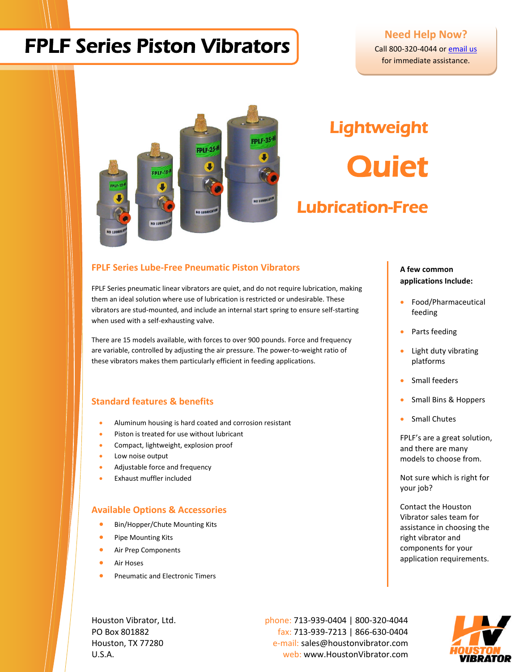## FPLF Series Piston Vibrators

### **Need Help Now?**

Call 800-320-4044 or email us for immediate assistance.



# **Lightweight Quiet** Lubrication-Free

#### **FPLF Series Lube-Free Pneumatic Piston Vibrators**

FPLF Series pneumatic linear vibrators are quiet, and do not require lubrication, making them an ideal solution where use of lubrication is restricted or undesirable. These vibrators are stud-mounted, and include an internal start spring to ensure self-starting when used with a self-exhausting valve.

There are 15 models available, with forces to over 900 pounds. Force and frequency are variable, controlled by adjusting the air pressure. The power-to-weight ratio of these vibrators makes them particularly efficient in feeding applications.

#### **Standard features & benefits**

- Aluminum housing is hard coated and corrosion resistant
- Piston is treated for use without lubricant
- Compact, lightweight, explosion proof
- Low noise output
- Adjustable force and frequency
- Exhaust muffler included

#### **Available Options & Accessories**

- Bin/Hopper/Chute Mounting Kits
- Pipe Mounting Kits
- Air Prep Components
- Air Hoses
- Pneumatic and Electronic Timers

Houston Vibrator, Ltd. **phone: 713-939-0404** | 800-320-4044 PO Box 801882 fax: 713-939-7213 | 866-630-0404 Houston, TX 77280 e-mail: sales@houstonvibrator.com U.S.A. web: www.HoustonVibrator.com



#### **A few common applications Include:**

- Food/Pharmaceutical feeding
- Parts feeding
- Light duty vibrating platforms
- Small feeders
- Small Bins & Hoppers
- Small Chutes

FPLF's are a great solution, and there are many models to choose from.

Not sure which is right for your job?

Contact the Houston Vibrator sales team for assistance in choosing the right vibrator and components for your application requirements.